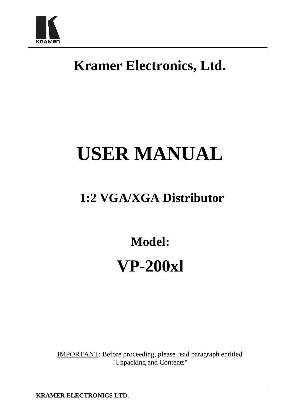

# **Kramer Electronics, Ltd.**

# **USER MANUAL**

# **1:2 VGA/XGA Distributor**

**Model: VP-200xl** 

IMPORTANT: Before proceeding, please read paragraph entitled "Unpacking and Contents"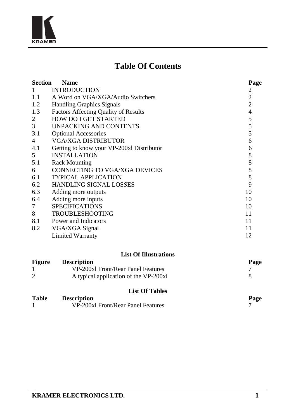

# **Table Of Contents**

| <b>Section</b> | <b>Name</b>                                 | Page           |
|----------------|---------------------------------------------|----------------|
|                | <b>INTRODUCTION</b>                         | 2              |
| 1.1            | A Word on VGA/XGA/Audio Switchers           | 2              |
| 1.2            | <b>Handling Graphics Signals</b>            | $\overline{c}$ |
| 1.3            | <b>Factors Affecting Quality of Results</b> | $\overline{4}$ |
| 2              | <b>HOW DO I GET STARTED</b>                 | 5              |
| 3              | UNPACKING AND CONTENTS                      | 5              |
| 3.1            | <b>Optional Accessories</b>                 | 5              |
| 4              | <b>VGA/XGA DISTRIBUTOR</b>                  | 6              |
| 4.1            | Getting to know your VP-200xl Distributor   | 6              |
| 5              | <b>INSTALLATION</b>                         | 8              |
| 5.1            | <b>Rack Mounting</b>                        | 8              |
| 6              | CONNECTING TO VGA/XGA DEVICES               | 8              |
| 6.1            | <b>TYPICAL APPLICATION</b>                  | 8              |
| 6.2            | <b>HANDLING SIGNAL LOSSES</b>               | 9              |
| 6.3            | Adding more outputs                         | 10             |
| 6.4            | Adding more inputs                          | 10             |
| 7              | <b>SPECIFICATIONS</b>                       | 10             |
| 8              | <b>TROUBLESHOOTING</b>                      | 11             |
| 8.1            | Power and Indicators                        | 11             |
| 8.2            | VGA/XGA Signal                              | 11             |
|                | <b>Limited Warranty</b>                     | 12             |

#### **List Of Illustrations**

| Figure | <b>Description</b>                    | Page |
|--------|---------------------------------------|------|
|        | VP-200xl Front/Rear Panel Features    |      |
|        | A typical application of the VP-200xl |      |
|        |                                       |      |

#### **List Of Tables**

| <b>Table</b> | <b>Description</b>                 | Page |
|--------------|------------------------------------|------|
|              | VP-200xl Front/Rear Panel Features |      |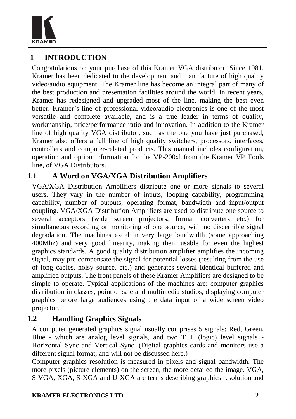

# **1 INTRODUCTION**

Congratulations on your purchase of this Kramer VGA distributor. Since 1981, Kramer has been dedicated to the development and manufacture of high quality video/audio equipment. The Kramer line has become an integral part of many of the best production and presentation facilities around the world. In recent years, Kramer has redesigned and upgraded most of the line, making the best even better. Kramer's line of professional video/audio electronics is one of the most versatile and complete available, and is a true leader in terms of quality, workmanship, price/performance ratio and innovation. In addition to the Kramer line of high quality VGA distributor, such as the one you have just purchased, Kramer also offers a full line of high quality switchers, processors, interfaces, controllers and computer-related products. This manual includes configuration, operation and option information for the VP-200xl from the Kramer VP Tools line, of VGA Distributors.

#### **1.1 A Word on VGA/XGA Distribution Amplifiers**

VGA/XGA Distribution Amplifiers distribute one or more signals to several users. They vary in the number of inputs, looping capability, programming capability, number of outputs, operating format, bandwidth and input/output coupling. VGA/XGA Distribution Amplifiers are used to distribute one source to several acceptors (wide screen projectors, format converters etc.) for simultaneous recording or monitoring of one source, with no discernible signal degradation. The machines excel in very large bandwidth (some approaching 400Mhz) and very good linearity, making them usable for even the highest graphics standards. A good quality distribution amplifier amplifies the incoming signal, may pre-compensate the signal for potential losses (resulting from the use of long cables, noisy source, etc.) and generates several identical buffered and amplified outputs. The front panels of these Kramer Amplifiers are designed to be simple to operate. Typical applications of the machines are: computer graphics distribution in classes, point of sale and multimedia studios, displaying computer graphics before large audiences using the data input of a wide screen video projector.

#### **1.2 Handling Graphics Signals**

A computer generated graphics signal usually comprises 5 signals: Red, Green, Blue - which are analog level signals, and two TTL (logic) level signals - Horizontal Sync and Vertical Sync. (Digital graphics cards and monitors use a different signal format, and will not be discussed here.)

Computer graphics resolution is measured in pixels and signal bandwidth. The more pixels (picture elements) on the screen, the more detailed the image. VGA, S-VGA, XGA, S-XGA and U-XGA are terms describing graphics resolution and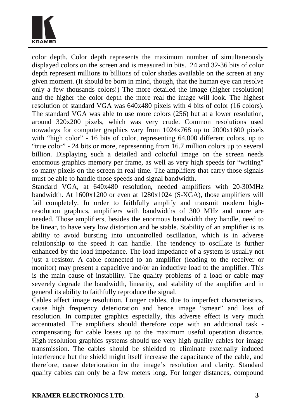

color depth. Color depth represents the maximum number of simultaneously displayed colors on the screen and is measured in bits. 24 and 32-36 bits of color depth represent millions to billions of color shades available on the screen at any given moment. (It should be born in mind, though, that the human eye can resolve only a few thousands colors!) The more detailed the image (higher resolution) and the higher the color depth the more real the image will look. The highest resolution of standard VGA was 640x480 pixels with 4 bits of color (16 colors). The standard VGA was able to use more colors (256) but at a lower resolution, around 320x200 pixels, which was very crude. Common resolutions used nowadays for computer graphics vary from 1024x768 up to 2000x1600 pixels with "high color" - 16 bits of color, representing 64,000 different colors, up to "true color" - 24 bits or more, representing from 16.7 million colors up to several billion. Displaying such a detailed and colorful image on the screen needs enormous graphics memory per frame, as well as very high speeds for "writing" so many pixels on the screen in real time. The amplifiers that carry those signals must be able to handle those speeds and signal bandwidth.

Standard VGA, at 640x480 resolution, needed amplifiers with 20-30MHz bandwidth. At 1600x1200 or even at 1280x1024 (S-XGA), those amplifiers will fail completely. In order to faithfully amplify and transmit modern highresolution graphics, amplifiers with bandwidths of 300 MHz and more are needed. Those amplifiers, besides the enormous bandwidth they handle, need to be linear, to have very low distortion and be stable. Stability of an amplifier is its ability to avoid bursting into uncontrolled oscillation, which is in adverse relationship to the speed it can handle. The tendency to oscillate is further enhanced by the load impedance. The load impedance of a system is usually not just a resistor. A cable connected to an amplifier (leading to the receiver or monitor) may present a capacitive and/or an inductive load to the amplifier. This is the main cause of instability. The quality problems of a load or cable may severely degrade the bandwidth, linearity, and stability of the amplifier and in general its ability to faithfully reproduce the signal.

Cables affect image resolution. Longer cables, due to imperfect characteristics, cause high frequency deterioration and hence image "smear" and loss of resolution. In computer graphics especially, this adverse effect is very much accentuated. The amplifiers should therefore cope with an additional task compensating for cable losses up to the maximum useful operation distance. High-resolution graphics systems should use very high quality cables for image transmission. The cables should be shielded to eliminate externally induced interference but the shield might itself increase the capacitance of the cable, and therefore, cause deterioration in the image's resolution and clarity. Standard quality cables can only be a few meters long. For longer distances, compound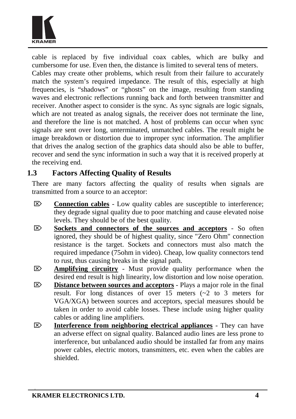

cable is replaced by five individual coax cables, which are bulky and cumbersome for use. Even then, the distance is limited to several tens of meters. Cables may create other problems, which result from their failure to accurately match the system's required impedance. The result of this, especially at high frequencies, is "shadows" or "ghosts" on the image, resulting from standing waves and electronic reflections running back and forth between transmitter and receiver. Another aspect to consider is the sync. As sync signals are logic signals, which are not treated as analog signals, the receiver does not terminate the line. and therefore the line is not matched. A host of problems can occur when sync signals are sent over long, unterminated, unmatched cables. The result might be image breakdown or distortion due to improper sync information. The amplifier that drives the analog section of the graphics data should also be able to buffer, recover and send the sync information in such a way that it is received properly at the receiving end.

#### **1.3 Factors Affecting Quality of Results**

There are many factors affecting the quality of results when signals are transmitted from a source to an acceptor:

- $\overline{\otimes}$  **Connection cables** Low quality cables are susceptible to interference; they degrade signal quality due to poor matching and cause elevated noise levels. They should be of the best quality.
- ⌦ **Sockets and connectors of the sources and acceptors** So often ignored, they should be of highest quality, since "Zero Ohm" connection resistance is the target. Sockets and connectors must also match the required impedance (75ohm in video). Cheap, low quality connectors tend to rust, thus causing breaks in the signal path.
- ⌦ **Amplifying circuitry** Must provide quality performance when the desired end result is high linearity, low distortion and low noise operation.
- ⌦ **Distance between sources and acceptors** Plays a major role in the final result. For long distances of over 15 meters (~2 to 3 meters for VGA/XGA) between sources and acceptors, special measures should be taken in order to avoid cable losses. These include using higher quality cables or adding line amplifiers.
- ⌦ **Interference from neighboring electrical appliances** They can have an adverse effect on signal quality. Balanced audio lines are less prone to interference, but unbalanced audio should be installed far from any mains power cables, electric motors, transmitters, etc. even when the cables are shielded.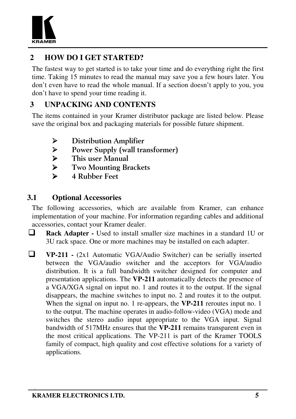

# **2 HOW DO I GET STARTED?**

The fastest way to get started is to take your time and do everything right the first time. Taking 15 minutes to read the manual may save you a few hours later. You don't even have to read the whole manual. If a section doesn't apply to you, you don't have to spend your time reading it.

# **3 UNPACKING AND CONTENTS**

The items contained in your Kramer distributor package are listed below. Please save the original box and packaging materials for possible future shipment.

- > Distribution Amplifier
- Power Supply (wall transformer)
- > This user Manual
- > Two Mounting Brackets
- $\triangleright$  4 Rubber Feet

# **3.1 Optional Accessories**

The following accessories, which are available from Kramer, can enhance implementation of your machine. For information regarding cables and additional accessories, contact your Kramer dealer.

- **Rack Adapter -** Used to install smaller size machines in <sup>a</sup> standard 1U or 3U rack space. One or more machines may be installed on each adapter.
- **VP-211 -** (2x1 Automatic VGA/Audio Switcher) can be serially inserted between the VGA/audio switcher and the acceptors for VGA/audio distribution. It is a full bandwidth switcher designed for computer and presentation applications. The **VP-211** automatically detects the presence of a VGA/XGA signal on input no. 1 and routes it to the output. If the signal disappears, the machine switches to input no. 2 and routes it to the output. When the signal on input no. 1 re-appears, the **VP-211** reroutes input no. 1 to the output. The machine operates in audio-follow-video (VGA) mode and switches the stereo audio input appropriate to the VGA input. Signal bandwidth of 517MHz ensures that the **VP-211** remains transparent even in the most critical applications. The VP-211 is part of the Kramer TOOLS family of compact, high quality and cost effective solutions for a variety of applications.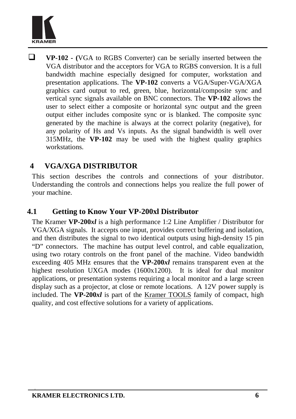

 **VP-102 - (**VGA to RGBS Converter) can be serially inserted between the VGA distributor and the acceptors for VGA to RGBS conversion. It is a full bandwidth machine especially designed for computer, workstation and presentation applications. The **VP-102** converts a VGA/Super-VGA/XGA graphics card output to red, green, blue, horizontal/composite sync and vertical sync signals available on BNC connectors. The **VP-102** allows the user to select either a composite or horizontal sync output and the green output either includes composite sync or is blanked. The composite sync generated by the machine is always at the correct polarity (negative), for any polarity of Hs and Vs inputs. As the signal bandwidth is well over 315MHz, the **VP-102** may be used with the highest quality graphics workstations.

# **4 VGA/XGA DISTRIBUTOR**

This section describes the controls and connections of your distributor. Understanding the controls and connections helps you realize the full power of your machine.

#### **4.1 Getting to Know Your VP-200xl Distributor**

The Kramer **VP-200***xl* is a high performance 1:2 Line Amplifier / Distributor for VGA/XGA signals. It accepts one input, provides correct buffering and isolation, and then distributes the signal to two identical outputs using high-density 15 pin "D" connectors. The machine has output level control, and cable equalization, using two rotary controls on the front panel of the machine. Video bandwidth exceeding 405 MHz ensures that the **VP-200***xl* remains transparent even at the highest resolution UXGA modes (1600x1200). It is ideal for dual monitor applications, or presentation systems requiring a local monitor and a large screen display such as a projector, at close or remote locations. A 12V power supply is included. The **VP-200***xl* is part of the Kramer TOOLS family of compact, high quality, and cost effective solutions for a variety of applications.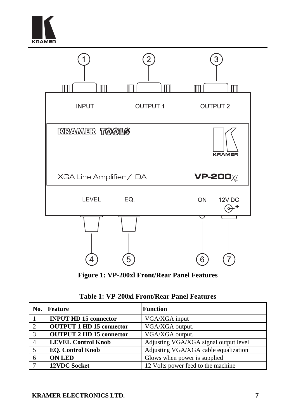



**Figure 1: VP-200xl Front/Rear Panel Features** 

|  |  |  | Table 1: VP-200xl Front/Rear Panel Features |
|--|--|--|---------------------------------------------|
|--|--|--|---------------------------------------------|

| No. | <b>Feature</b>                  | <b>Function</b>                       |
|-----|---------------------------------|---------------------------------------|
|     | <b>INPUT HD 15 connector</b>    | VGA/XGA input                         |
| 2   | <b>OUTPUT 1 HD 15 connector</b> | VGA/XGA output.                       |
| -3  | <b>OUTPUT 2 HD 15 connector</b> | VGA/XGA output.                       |
|     | <b>LEVEL Control Knob</b>       | Adjusting VGA/XGA signal output level |
| - 5 | <b>EO.</b> Control Knob         | Adjusting VGA/XGA cable equalization  |
| -6  | <b>ON LED</b>                   | Glows when power is supplied          |
|     | <b>12VDC Socket</b>             | 12 Volts power feed to the machine    |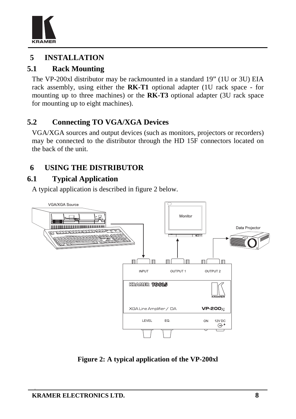

# **5 INSTALLATION**

# **5.1 Rack Mounting**

The VP-200xl distributor may be rackmounted in a standard 19" (1U or 3U) EIA rack assembly, using either the **RK-T1** optional adapter (1U rack space - for mounting up to three machines) or the **RK-T3** optional adapter (3U rack space for mounting up to eight machines).

# **5.2 Connecting TO VGA/XGA Devices**

VGA/XGA sources and output devices (such as monitors, projectors or recorders) may be connected to the distributor through the HD 15F connectors located on the back of the unit.

# **6 USING THE DISTRIBUTOR**

# **6.1 Typical Application**

A typical application is described in figure 2 below.



**Figure 2: A typical application of the VP-200xl**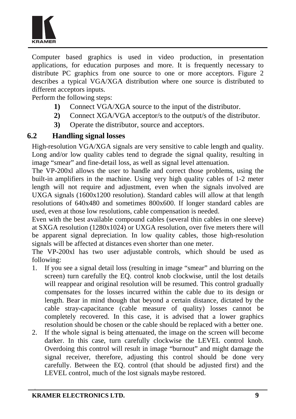

Computer based graphics is used in video production, in presentation applications, for education purposes and more. It is frequently necessary to distribute PC graphics from one source to one or more acceptors. Figure 2 describes a typical VGA/XGA distribution where one source is distributed to different acceptors inputs.

Perform the following steps:

- **1)** Connect VGA/XGA source to the input of the distributor.
- **2)** Connect XGA/VGA acceptor/s to the output/s of the distributor.
- **3)** Operate the distributor, source and acceptors.

#### **6.2 Handling signal losses**

High-resolution VGA/XGA signals are very sensitive to cable length and quality. Long and/or low quality cables tend to degrade the signal quality, resulting in image "smear" and fine-detail loss, as well as signal level attenuation.

The VP-200xl allows the user to handle and correct those problems, using the built-in amplifiers in the machine. Using very high quality cables of 1-2 meter length will not require and adjustment, even when the signals involved are UXGA signals (1600x1200 resolution). Standard cables will allow at that length resolutions of 640x480 and sometimes 800x600. If longer standard cables are used, even at those low resolutions, cable compensation is needed.

Even with the best available compound cables (several thin cables in one sleeve) at SXGA resolution (1280x1024) or UXGA resolution, over five meters there will be apparent signal depreciation. In low quality cables, those high-resolution signals will be affected at distances even shorter than one meter.

The VP-200xl has two user adjustable controls, which should be used as following:

- 1. If you see a signal detail loss (resulting in image "smear" and blurring on the screen) turn carefully the EQ. control knob clockwise, until the lost details will reappear and original resolution will be resumed. This control gradually compensates for the losses incurred within the cable due to its design or length. Bear in mind though that beyond a certain distance, dictated by the cable stray-capacitance (cable measure of quality) losses cannot be completely recovered. In this case, it is advised that a lower graphics resolution should be chosen or the cable should be replaced with a better one.
- 2. If the whole signal is being attenuated, the image on the screen will become darker. In this case, turn carefully clockwise the LEVEL control knob. Overdoing this control will result in image "burnout" and might damage the signal receiver, therefore, adjusting this control should be done very carefully. Between the EQ. control (that should be adjusted first) and the LEVEL control, much of the lost signals maybe restored.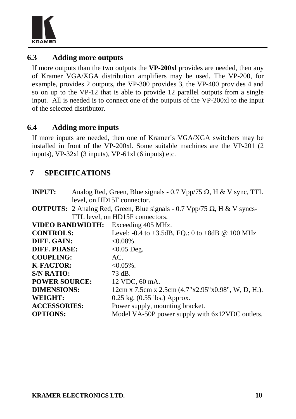

#### **6.3 Adding more outputs**

If more outputs than the two outputs the **VP-200xl** provides are needed, then any of Kramer VGA/XGA distribution amplifiers may be used. The VP-200, for example, provides 2 outputs, the VP-300 provides 3, the VP-400 provides 4 and so on up to the VP-12 that is able to provide 12 parallel outputs from a single input. All is needed is to connect one of the outputs of the VP-200xl to the input of the selected distributor.

#### **6.4 Adding more inputs**

If more inputs are needed, then one of Kramer's VGA/XGA switchers may be installed in front of the VP-200xl. Some suitable machines are the VP-201 (2 inputs), VP-32xl (3 inputs), VP-61xl (6 inputs) etc.

# **7 SPECIFICATIONS**

| <b>INPUT:</b>        | Analog Red, Green, Blue signals - 0.7 Vpp/75 $\Omega$ , H & V sync, TTL                |
|----------------------|----------------------------------------------------------------------------------------|
|                      | level, on HD15F connector.                                                             |
|                      | <b>OUTPUTS:</b> 2 Analog Red, Green, Blue signals - 0.7 Vpp/75 $\Omega$ , H & V syncs- |
|                      | TTL level, on HD15F connectors.                                                        |
|                      | VIDEO BANDWIDTH: Exceeding 405 MHz.                                                    |
| <b>CONTROLS:</b>     | Level: $-0.4$ to $+3.5$ dB, EQ.: 0 to $+8$ dB @ 100 MHz                                |
| DIFF. GAIN:          | $< 0.08\%$ .                                                                           |
| <b>DIFF. PHASE:</b>  | $<0.05$ Deg.                                                                           |
| <b>COUPLING:</b>     | AC.                                                                                    |
| <b>K-FACTOR:</b>     | $< 0.05\%$ .                                                                           |
| <b>S/N RATIO:</b>    | 73 dB.                                                                                 |
| <b>POWER SOURCE:</b> | 12 VDC, 60 mA.                                                                         |
| <b>DIMENSIONS:</b>   | 12cm x 7.5cm x 2.5cm (4.7"x2.95"x0.98", W, D, H.).                                     |
| WEIGHT:              | $0.25$ kg. $(0.55$ lbs.) Approx.                                                       |
| <b>ACCESSORIES:</b>  | Power supply, mounting bracket.                                                        |
| <b>OPTIONS:</b>      | Model VA-50P power supply with 6x12VDC outlets.                                        |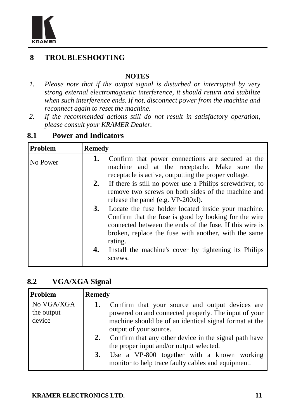

# **8 TROUBLESHOOTING**

#### **NOTES**

- *1. Please note that if the output signal is disturbed or interrupted by very strong external electromagnetic interference, it should return and stabilize when such interference ends. If not, disconnect power from the machine and reconnect again to reset the machine.*
- *2. If the recommended actions still do not result in satisfactory operation, please consult your KRAMER Dealer.*

# **8.1 Power and Indicators**

| <b>Problem</b> | <b>Remedy</b> |                                                                                                                                                                                                                                            |
|----------------|---------------|--------------------------------------------------------------------------------------------------------------------------------------------------------------------------------------------------------------------------------------------|
| No Power       | 1.            | Confirm that power connections are secured at the<br>machine and at the receptacle. Make sure the<br>receptacle is active, outputting the proper voltage.                                                                                  |
|                | 2.            | If there is still no power use a Philips screwdriver, to<br>remove two screws on both sides of the machine and<br>release the panel (e.g. VP-200xl).                                                                                       |
| 3.             |               | Locate the fuse holder located inside your machine.<br>Confirm that the fuse is good by looking for the wire<br>connected between the ends of the fuse. If this wire is<br>broken, replace the fuse with another, with the same<br>rating. |
|                | 4.            | Install the machine's cover by tightening its Philips<br>screws.                                                                                                                                                                           |

#### **8.2 VGA/XGA Signal**

| Problem                            | <b>Remedy</b> |                                                                                                                                                                                             |
|------------------------------------|---------------|---------------------------------------------------------------------------------------------------------------------------------------------------------------------------------------------|
| No VGA/XGA<br>the output<br>device |               | Confirm that your source and output devices are<br>powered on and connected properly. The input of your<br>machine should be of an identical signal format at the<br>output of your source. |
|                                    | 2.            | Confirm that any other device in the signal path have<br>the proper input and/or output selected.                                                                                           |
|                                    | 3.            | Use a VP-800 together with a known working<br>monitor to help trace faulty cables and equipment.                                                                                            |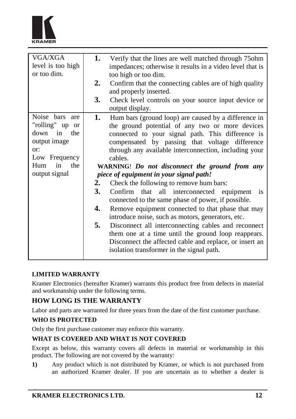

| VGA/XGA           | 1. | Verify that the lines are well matched through 75ohm      |
|-------------------|----|-----------------------------------------------------------|
| level is too high |    | impedances; otherwise it results in a video level that is |
| or too dim.       |    | too high or too dim.                                      |
|                   | 2. | Confirm that the connecting cables are of high quality    |
|                   |    | and properly inserted.                                    |
|                   | 3. | Check level controls on your source input device or       |
|                   |    | output display.                                           |
| Noise bars are    | 1. | Hum bars (ground loop) are caused by a difference in      |
| "rolling" up or   |    | the ground potential of any two or more devices           |
| down in<br>the    |    | connected to your signal path. This difference is         |
| output image      |    | compensated by passing that voltage difference            |
| or:               |    | through any available interconnection, including your     |
| Low Frequency     |    | cables.                                                   |
| the<br>in<br>Hum  |    | WARNING! Do not disconnect the ground from any            |
| output signal     |    | piece of equipment in your signal path!                   |
|                   | 2. | Check the following to remove hum bars:                   |
|                   | 3. | Confirm that all interconnected equipment is              |
|                   |    | connected to the same phase of power, if possible.        |
|                   | 4. | Remove equipment connected to that phase that may         |
|                   |    | introduce noise, such as motors, generators, etc.         |
|                   | 5. | Disconnect all interconnecting cables and reconnect       |
|                   |    | them one at a time until the ground loop reappears.       |
|                   |    | Disconnect the affected cable and replace, or insert an   |
|                   |    | isolation transformer in the signal path.                 |
|                   |    |                                                           |

#### **LIMITED WARRANTY**

Kramer Electronics (hereafter Kramer) warrants this product free from defects in material and workmanship under the following terms.

#### **HOW LONG IS THE WARRANTY**

Labor and parts are warranted for three years from the date of the first customer purchase.

#### **WHO IS PROTECTED**

Only the first purchase customer may enforce this warranty.

#### **WHAT IS COVERED AND WHAT IS NOT COVERED**

Except as below, this warranty covers all defects in material or workmanship in this product. The following are not covered by the warranty:

**1)** Any product which is not distributed by Kramer, or which is not purchased from an authorized Kramer dealer. If you are uncertain as to whether a dealer is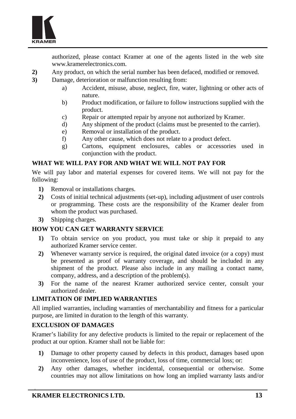

authorized, please contact Kramer at one of the agents listed in the web site www.kramerelectronics.com.

- **2)** Any product, on which the serial number has been defaced, modified or removed.
- **3)** Damage, deterioration or malfunction resulting from:
	- a) Accident, misuse, abuse, neglect, fire, water, lightning or other acts of nature.
	- b) Product modification, or failure to follow instructions supplied with the product.
	- c) Repair or attempted repair by anyone not authorized by Kramer.
	- d) Any shipment of the product (claims must be presented to the carrier).
	- e) Removal or installation of the product.
	- f) Any other cause, which does not relate to a product defect.
	- g) Cartons, equipment enclosures, cables or accessories used in conjunction with the product.

#### **WHAT WE WILL PAY FOR AND WHAT WE WILL NOT PAY FOR**

We will pay labor and material expenses for covered items. We will not pay for the following:

- **1)** Removal or installations charges.
- **2)** Costs of initial technical adjustments (set-up), including adjustment of user controls or programming. These costs are the responsibility of the Kramer dealer from whom the product was purchased.
- **3)** Shipping charges.

#### **HOW YOU CAN GET WARRANTY SERVICE**

- **1)** To obtain service on you product, you must take or ship it prepaid to any authorized Kramer service center.
- **2)** Whenever warranty service is required, the original dated invoice (or a copy) must be presented as proof of warranty coverage, and should be included in any shipment of the product. Please also include in any mailing a contact name, company, address, and a description of the problem(s).
- **3)** For the name of the nearest Kramer authorized service center, consult your authorized dealer.

#### **LIMITATION OF IMPLIED WARRANTIES**

All implied warranties, including warranties of merchantability and fitness for a particular purpose, are limited in duration to the length of this warranty.

#### **EXCLUSION OF DAMAGES**

Kramer's liability for any defective products is limited to the repair or replacement of the product at our option. Kramer shall not be liable for:

- **1)** Damage to other property caused by defects in this product, damages based upon inconvenience, loss of use of the product, loss of time, commercial loss; or:
- **2)** Any other damages, whether incidental, consequential or otherwise. Some countries may not allow limitations on how long an implied warranty lasts and/or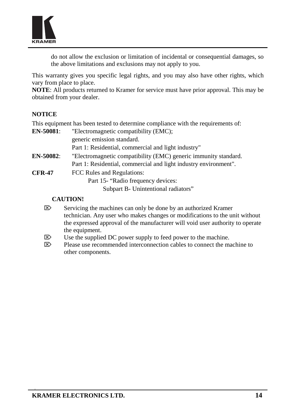

do not allow the exclusion or limitation of incidental or consequential damages, so the above limitations and exclusions may not apply to you.

This warranty gives you specific legal rights, and you may also have other rights, which vary from place to place.

**NOTE**: All products returned to Kramer for service must have prior approval. This may be obtained from your dealer.

#### **NOTICE**

This equipment has been tested to determine compliance with the requirements of:

| <b>EN-50081:</b> | "Electromagnetic compatibility (EMC);                            |  |  |
|------------------|------------------------------------------------------------------|--|--|
|                  | generic emission standard.                                       |  |  |
|                  | Part 1: Residential, commercial and light industry"              |  |  |
| $EN-50082:$      | "Electromagnetic compatibility (EMC) generic immunity standard.  |  |  |
|                  | Part 1: Residential, commercial and light industry environment". |  |  |
| <b>CFR-47</b>    | FCC Rules and Regulations:                                       |  |  |
|                  | Part 15- "Radio frequency devices:                               |  |  |
|                  | Subpart B - Unintentional radiators"                             |  |  |

#### **CAUTION!**

- $\boxtimes$  Servicing the machines can only be done by an authorized Kramer technician. Any user who makes changes or modifications to the unit without the expressed approval of the manufacturer will void user authority to operate the equipment.
- $\triangleright$  Use the supplied DC power supply to feed power to the machine.
- E> Please use recommended interconnection cables to connect the machine to other components.